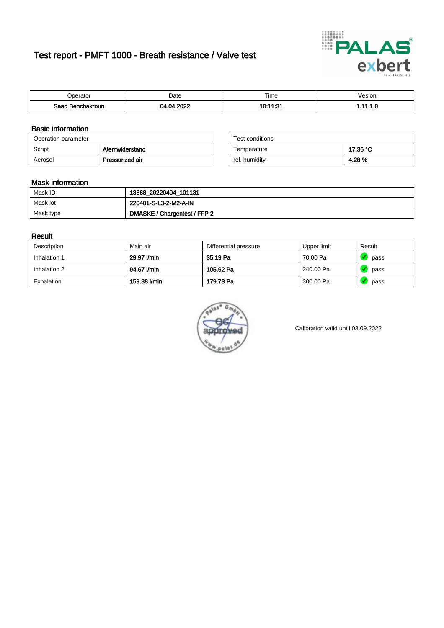# Test report - PMFT 1000 - Breath resistance / Valve test



| )perator                | Date | $- \cdot$<br>Time   | /esion |
|-------------------------|------|---------------------|--------|
| Saad<br>ehakroun<br>. . | onos | --04<br>1 n. i<br>. | .      |

### Basic information

| Operation parameter |                 | Test conditions |          |
|---------------------|-----------------|-----------------|----------|
| Script              | Atemwiderstand  | Temperature     | 17.36 °C |
| Aerosol             | Pressurized air | rel. humidity   | 4.28%    |

| Test conditions |          |
|-----------------|----------|
| Temperature     | 17.36 °C |
| rel. humidity   | 4.28%    |

### Mask information

| Mask ID   | 13868_20220404_101131        |
|-----------|------------------------------|
| Mask lot  | 220401-S-L3-2-M2-A-IN        |
| Mask type | DMASKE / Chargentest / FFP 2 |

### Result

| Description  | Main air     | Differential pressure | Upper limit | Result |
|--------------|--------------|-----------------------|-------------|--------|
| Inhalation 1 | 29.97 l/min  | 35.19 Pa              | 70.00 Pa    | pass   |
| Inhalation 2 | 94.67 l/min  | 105.62 Pa             | 240.00 Pa   | pass   |
| Exhalation   | 159.88 l/min | 179.73 Pa             | 300.00 Pa   | pass   |



Calibration valid until 03.09.2022